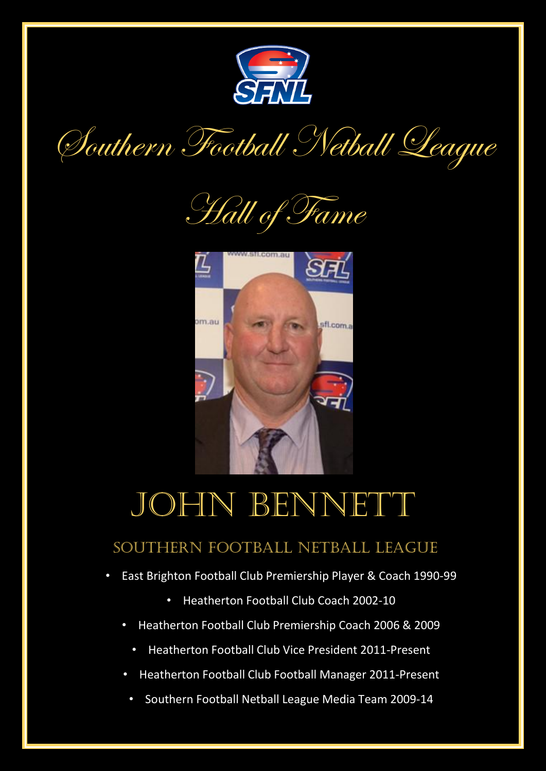

Southern Football Netball League





## JOHN BENNETT

## Southern Football Netball League

- East Brighton Football Club Premiership Player & Coach 1990-99
	- Heatherton Football Club Coach 2002-10
	- Heatherton Football Club Premiership Coach 2006 & 2009
		- Heatherton Football Club Vice President 2011-Present
	- Heatherton Football Club Football Manager 2011-Present
		- Southern Football Netball League Media Team 2009-14